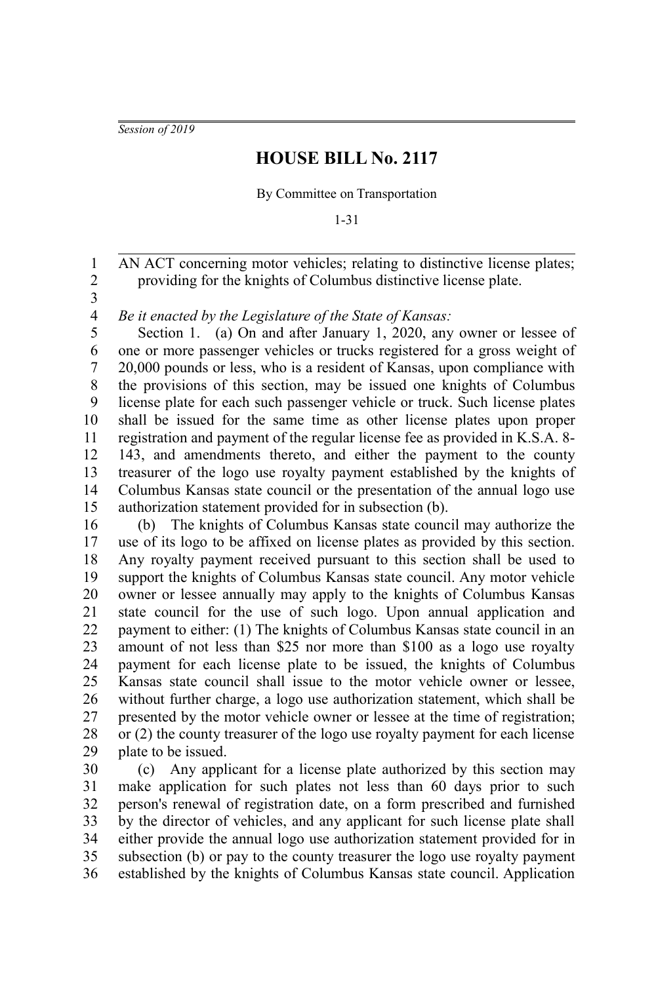*Session of 2019*

## **HOUSE BILL No. 2117**

By Committee on Transportation

1-31

AN ACT concerning motor vehicles; relating to distinctive license plates; providing for the knights of Columbus distinctive license plate. 1 2

3

*Be it enacted by the Legislature of the State of Kansas:* 4

Section 1. (a) On and after January 1, 2020, any owner or lessee of one or more passenger vehicles or trucks registered for a gross weight of 20,000 pounds or less, who is a resident of Kansas, upon compliance with the provisions of this section, may be issued one knights of Columbus license plate for each such passenger vehicle or truck. Such license plates shall be issued for the same time as other license plates upon proper registration and payment of the regular license fee as provided in K.S.A. 8- 143, and amendments thereto, and either the payment to the county treasurer of the logo use royalty payment established by the knights of Columbus Kansas state council or the presentation of the annual logo use authorization statement provided for in subsection (b). 5 6 7 8 9 10 11 12 13 14 15

(b) The knights of Columbus Kansas state council may authorize the use of its logo to be affixed on license plates as provided by this section. Any royalty payment received pursuant to this section shall be used to support the knights of Columbus Kansas state council. Any motor vehicle owner or lessee annually may apply to the knights of Columbus Kansas state council for the use of such logo. Upon annual application and payment to either: (1) The knights of Columbus Kansas state council in an amount of not less than \$25 nor more than \$100 as a logo use royalty payment for each license plate to be issued, the knights of Columbus Kansas state council shall issue to the motor vehicle owner or lessee, without further charge, a logo use authorization statement, which shall be presented by the motor vehicle owner or lessee at the time of registration; or (2) the county treasurer of the logo use royalty payment for each license plate to be issued. 16 17 18 19 20 21 22 23 24 25 26 27 28 29

(c) Any applicant for a license plate authorized by this section may make application for such plates not less than 60 days prior to such person's renewal of registration date, on a form prescribed and furnished by the director of vehicles, and any applicant for such license plate shall either provide the annual logo use authorization statement provided for in subsection (b) or pay to the county treasurer the logo use royalty payment established by the knights of Columbus Kansas state council. Application 30 31 32 33 34 35 36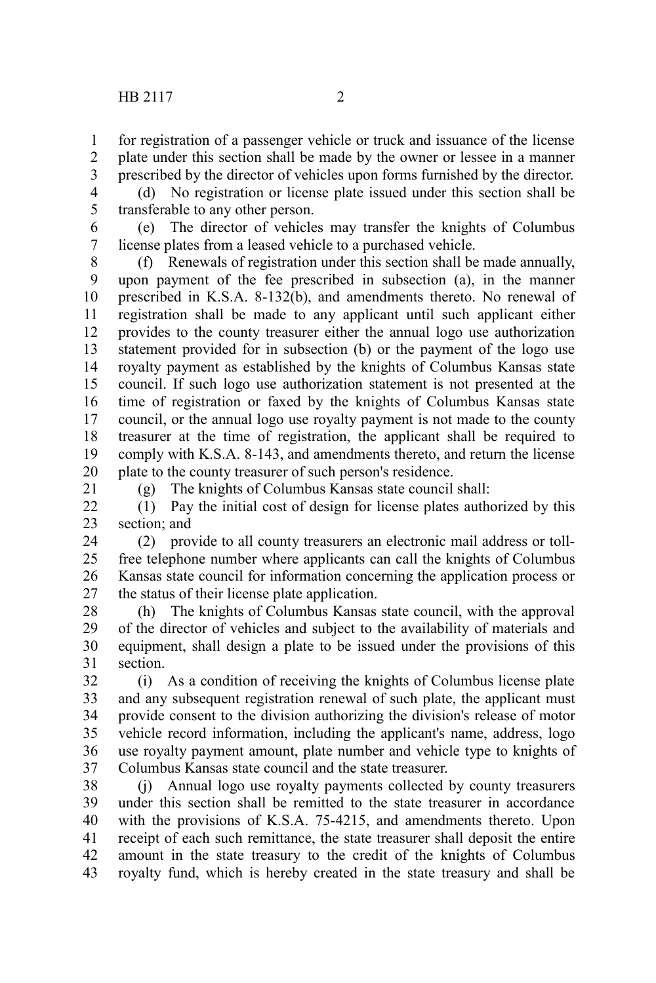for registration of a passenger vehicle or truck and issuance of the license plate under this section shall be made by the owner or lessee in a manner prescribed by the director of vehicles upon forms furnished by the director. 1 2 3

4 5

21

(d) No registration or license plate issued under this section shall be transferable to any other person.

(e) The director of vehicles may transfer the knights of Columbus license plates from a leased vehicle to a purchased vehicle. 6 7

(f) Renewals of registration under this section shall be made annually, upon payment of the fee prescribed in subsection (a), in the manner prescribed in K.S.A. 8-132(b), and amendments thereto. No renewal of registration shall be made to any applicant until such applicant either provides to the county treasurer either the annual logo use authorization statement provided for in subsection (b) or the payment of the logo use royalty payment as established by the knights of Columbus Kansas state council. If such logo use authorization statement is not presented at the time of registration or faxed by the knights of Columbus Kansas state council, or the annual logo use royalty payment is not made to the county treasurer at the time of registration, the applicant shall be required to comply with K.S.A. 8-143, and amendments thereto, and return the license plate to the county treasurer of such person's residence. 8 9 10 11 12 13 14 15 16 17 18 19 20

(g) The knights of Columbus Kansas state council shall:

(1) Pay the initial cost of design for license plates authorized by this section; and  $22$ 23

(2) provide to all county treasurers an electronic mail address or tollfree telephone number where applicants can call the knights of Columbus Kansas state council for information concerning the application process or the status of their license plate application. 24 25 26 27

(h) The knights of Columbus Kansas state council, with the approval of the director of vehicles and subject to the availability of materials and equipment, shall design a plate to be issued under the provisions of this section. 28 29 30 31

(i) As a condition of receiving the knights of Columbus license plate and any subsequent registration renewal of such plate, the applicant must provide consent to the division authorizing the division's release of motor vehicle record information, including the applicant's name, address, logo use royalty payment amount, plate number and vehicle type to knights of Columbus Kansas state council and the state treasurer. 32 33 34 35 36 37

(j) Annual logo use royalty payments collected by county treasurers under this section shall be remitted to the state treasurer in accordance with the provisions of K.S.A. 75-4215, and amendments thereto. Upon receipt of each such remittance, the state treasurer shall deposit the entire amount in the state treasury to the credit of the knights of Columbus royalty fund, which is hereby created in the state treasury and shall be 38 39 40 41 42 43